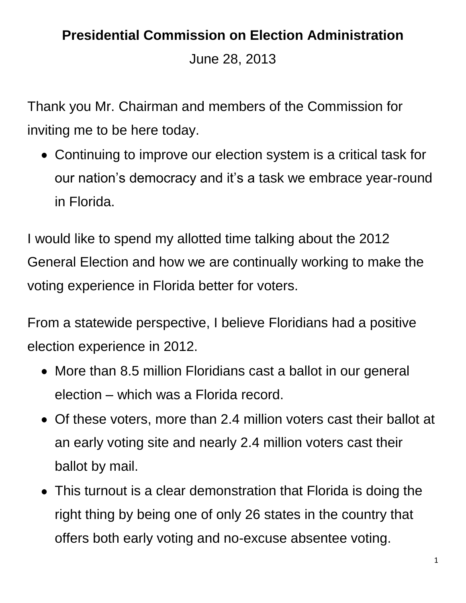## **Presidential Commission on Election Administration**

June 28, 2013

Thank you Mr. Chairman and members of the Commission for inviting me to be here today.

Continuing to improve our election system is a critical task for our nation's democracy and it's a task we embrace year-round in Florida.

I would like to spend my allotted time talking about the 2012 General Election and how we are continually working to make the voting experience in Florida better for voters.

From a statewide perspective, I believe Floridians had a positive election experience in 2012.

- More than 8.5 million Floridians cast a ballot in our general election – which was a Florida record.
- Of these voters, more than 2.4 million voters cast their ballot at an early voting site and nearly 2.4 million voters cast their ballot by mail.
- This turnout is a clear demonstration that Florida is doing the right thing by being one of only 26 states in the country that offers both early voting and no-excuse absentee voting.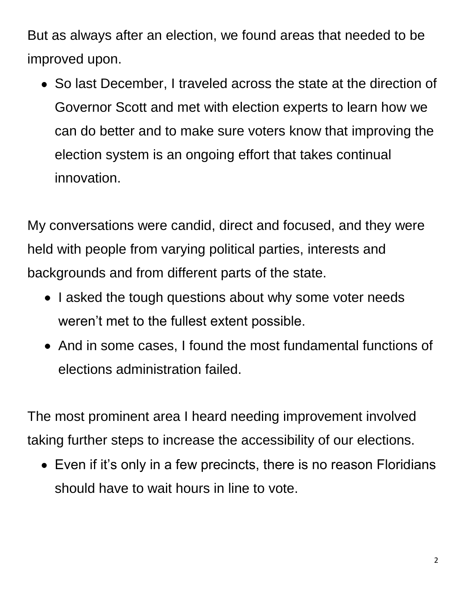But as always after an election, we found areas that needed to be improved upon.

So last December, I traveled across the state at the direction of Governor Scott and met with election experts to learn how we can do better and to make sure voters know that improving the election system is an ongoing effort that takes continual innovation.

My conversations were candid, direct and focused, and they were held with people from varying political parties, interests and backgrounds and from different parts of the state.

- I asked the tough questions about why some voter needs weren't met to the fullest extent possible.
- And in some cases, I found the most fundamental functions of elections administration failed.

The most prominent area I heard needing improvement involved taking further steps to increase the accessibility of our elections.

Even if it's only in a few precincts, there is no reason Floridians should have to wait hours in line to vote.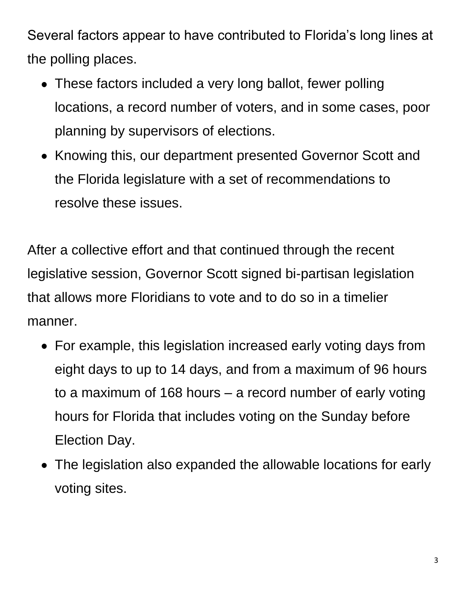Several factors appear to have contributed to Florida's long lines at the polling places.

- These factors included a very long ballot, fewer polling locations, a record number of voters, and in some cases, poor planning by supervisors of elections.
- Knowing this, our department presented Governor Scott and the Florida legislature with a set of recommendations to resolve these issues.

After a collective effort and that continued through the recent legislative session, Governor Scott signed bi-partisan legislation that allows more Floridians to vote and to do so in a timelier manner.

- For example, this legislation increased early voting days from eight days to up to 14 days, and from a maximum of 96 hours to a maximum of 168 hours – a record number of early voting hours for Florida that includes voting on the Sunday before Election Day.
- The legislation also expanded the allowable locations for early voting sites.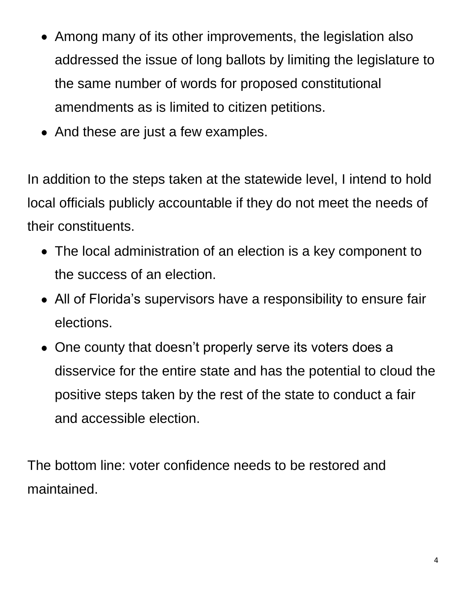- Among many of its other improvements, the legislation also addressed the issue of long ballots by limiting the legislature to the same number of words for proposed constitutional amendments as is limited to citizen petitions.
- And these are just a few examples.

In addition to the steps taken at the statewide level, I intend to hold local officials publicly accountable if they do not meet the needs of their constituents.

- The local administration of an election is a key component to the success of an election.
- All of Florida's supervisors have a responsibility to ensure fair elections.
- One county that doesn't properly serve its voters does a disservice for the entire state and has the potential to cloud the positive steps taken by the rest of the state to conduct a fair and accessible election.

The bottom line: voter confidence needs to be restored and maintained.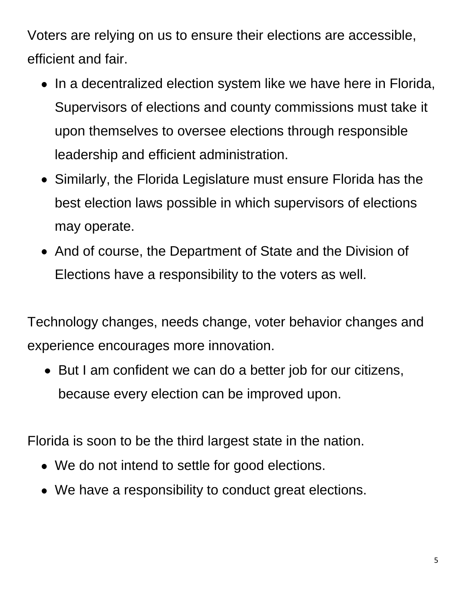Voters are relying on us to ensure their elections are accessible, efficient and fair.

- In a decentralized election system like we have here in Florida, Supervisors of elections and county commissions must take it upon themselves to oversee elections through responsible leadership and efficient administration.
- Similarly, the Florida Legislature must ensure Florida has the best election laws possible in which supervisors of elections may operate.
- And of course, the Department of State and the Division of Elections have a responsibility to the voters as well.

Technology changes, needs change, voter behavior changes and experience encourages more innovation.

• But I am confident we can do a better job for our citizens, because every election can be improved upon.

Florida is soon to be the third largest state in the nation.

- We do not intend to settle for good elections.
- We have a responsibility to conduct great elections.